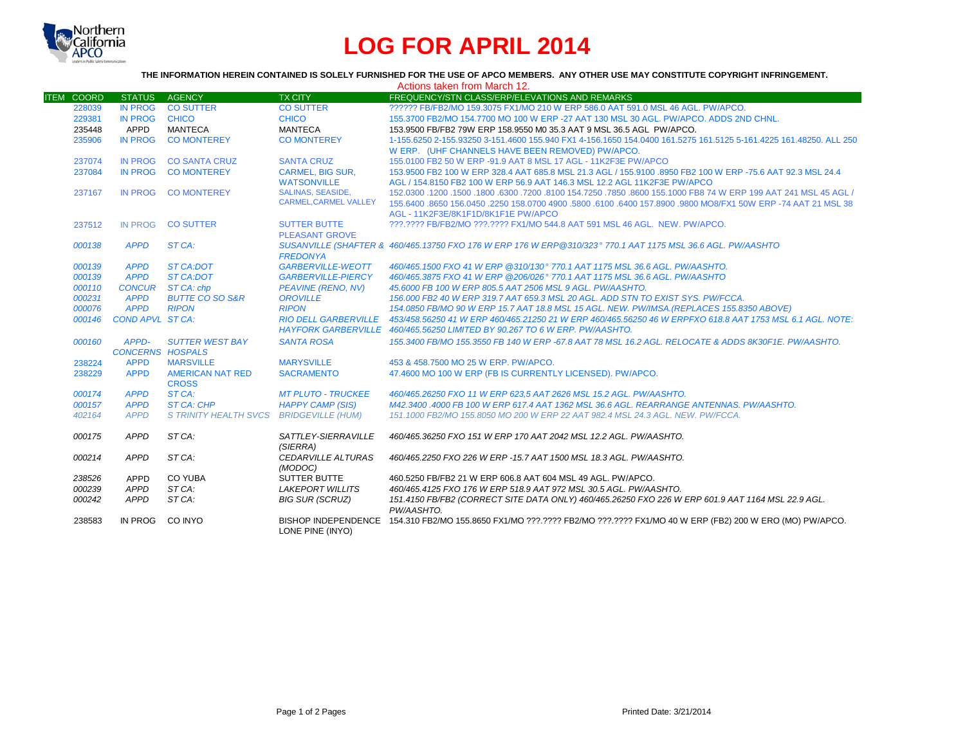

## **LOG FOR APRIL 2014**

## **THE INFORMATION HEREIN CONTAINED IS SOLELY FURNISHED FOR THE USE OF APCO MEMBERS. ANY OTHER USE MAY CONSTITUTE COPYRIGHT INFRINGEMENT.**

|                   |                         |                                         |                                                       | Actions taken from March 12.                                                                                      |
|-------------------|-------------------------|-----------------------------------------|-------------------------------------------------------|-------------------------------------------------------------------------------------------------------------------|
| <b>ITEM COORD</b> | <b>STATUS</b>           | AGENCY                                  | <b>TX CITY</b>                                        | FREQUENCY/STN CLASS/ERP/ELEVATIONS AND REMARKS                                                                    |
| 228039            | <b>IN PROG</b>          | <b>CO SUTTER</b>                        | <b>CO SUTTER</b>                                      | ?????? FB/FB2/MO 159.3075 FX1/MO 210 W ERP 586.0 AAT 591.0 MSL 46 AGL, PW/APCO.                                   |
| 229381            | <b>IN PROG</b>          | <b>CHICO</b>                            | <b>CHICO</b>                                          | 155.3700 FB2/MO 154.7700 MO 100 W ERP -27 AAT 130 MSL 30 AGL, PW/APCO, ADDS 2ND CHNL.                             |
| 235448            | APPD                    | <b>MANTECA</b>                          | <b>MANTECA</b>                                        | 153,9500 FB/FB2 79W ERP 158,9550 M0 35.3 AAT 9 MSL 36.5 AGL PW/APCO.                                              |
| 235906            | <b>IN PROG</b>          | <b>CO MONTEREY</b>                      | <b>CO MONTEREY</b>                                    | 1-155.6250 2-155.93250 3-151.4600 155.940 FX1 4-156.1650 154.0400 161.5275 161.5125 5-161.4225 161.48250. ALL 250 |
|                   |                         |                                         |                                                       | W ERP. (UHF CHANNELS HAVE BEEN REMOVED) PW/APCO.                                                                  |
| 237074            | <b>IN PROG</b>          | <b>CO SANTA CRUZ</b>                    | <b>SANTA CRUZ</b>                                     | 155.0100 FB2 50 W ERP -91.9 AAT 8 MSL 17 AGL - 11K2F3E PW/APCO                                                    |
| 237084            | <b>IN PROG</b>          | <b>CO MONTEREY</b>                      | <b>CARMEL, BIG SUR,</b>                               | 153,9500 FB2 100 W ERP 328.4 AAT 685.8 MSL 21.3 AGL / 155,9100 .8950 FB2 100 W ERP -75.6 AAT 92.3 MSL 24.4        |
|                   |                         |                                         | <b>WATSONVILLE</b>                                    | AGL / 154.8150 FB2 100 W ERP 56.9 AAT 146.3 MSL 12.2 AGL 11K2F3E PW/APCO                                          |
| 237167            | <b>IN PROG</b>          | <b>CO MONTEREY</b>                      | <b>SALINAS, SEASIDE,</b>                              | 152.0300 .1200 .1500 .6300 .7200 .8100 154.7250 .7850 .8600 155.1000 FB8 74 W ERP 199 AAT 241 MSL 45 AGL /        |
|                   |                         |                                         | <b>CARMEL, CARMEL VALLEY</b>                          | 155,6400,8650 156,0450,2250 158,0700 4900,5800,6100,6400 157,8900,9800 MO8/FX1 50W ERP -74 AAT 21 MSL 38          |
|                   |                         |                                         |                                                       | AGL - 11K2F3E/8K1F1D/8K1F1E PW/APCO                                                                               |
| 237512            | <b>IN PROG</b>          | <b>CO SUTTER</b>                        | <b>SUTTER BUTTE</b>                                   | ???.???? FB/FB2/MO ???.???? FX1/MO 544.8 AAT 591 MSL 46 AGL. NEW. PW/APCO.                                        |
|                   |                         |                                         | <b>PLEASANT GROVE</b>                                 |                                                                                                                   |
| 000138            | <b>APPD</b>             | ST CA:                                  |                                                       | SUSANVILLE (SHAFTER & 460/465.13750 FXO 176 W ERP 176 W ERP@310/323° 770.1 AAT 1175 MSL 36.6 AGL. PW/AASHTO       |
|                   | <b>APPD</b>             |                                         | <b>FREDONYA</b>                                       | 460/465.1500 FXO 41 W ERP @310/130° 770.1 AAT 1175 MSL 36.6 AGL. PW/AASHTO.                                       |
| 000139<br>000139  | <b>APPD</b>             | <b>ST CA:DOT</b><br>ST CA:DOT           | <b>GARBERVILLE-WEOTT</b><br><b>GARBERVILLE-PIERCY</b> | 460/465.3875 FXO 41 W ERP @206/026° 770.1 AAT 1175 MSL 36.6 AGL, PW/AASHTO                                        |
| 000110            | <b>CONCUR</b>           | ST CA: chp                              | <b>PEAVINE (RENO, NV)</b>                             | 45,6000 FB 100 W ERP 805.5 AAT 2506 MSL 9 AGL, PW/AASHTO.                                                         |
| 000231            | <b>APPD</b>             | <b>BUTTE CO SO S&amp;R</b>              | <b>OROVILLE</b>                                       | 156.000 FB2 40 W ERP 319.7 AAT 659.3 MSL 20 AGL. ADD STN TO EXIST SYS. PW/FCCA.                                   |
| 000076            | <b>APPD</b>             | <b>RIPON</b>                            | <b>RIPON</b>                                          | 154.0850 FB/MO 90 W ERP 15.7 AAT 18.8 MSL 15 AGL. NEW. PW/IMSA.(REPLACES 155.8350 ABOVE)                          |
| 000146            | <b>COND APVL ST CA:</b> |                                         | <b>RIO DELL GARBERVILLE</b>                           | 453/458.56250 41 W ERP 460/465.21250 21 W ERP 460/465.56250 46 W ERPFXO 618.8 AAT 1753 MSL 6.1 AGL. NOTE:         |
|                   |                         |                                         |                                                       | HAYFORK GARBERVILLE 460/465.56250 LIMITED BY 90.267 TO 6 W ERP. PW/AASHTO.                                        |
| 000160            | APPD-                   | <b>SUTTER WEST BAY</b>                  | <b>SANTA ROSA</b>                                     | 155.3400 FB/MO 155.3550 FB 140 W ERP -67.8 AAT 78 MSL 16.2 AGL, RELOCATE & ADDS 8K30F1E, PW/AASHTO,               |
|                   | <b>CONCERNS HOSPALS</b> |                                         |                                                       |                                                                                                                   |
| 238224            | <b>APPD</b>             | <b>MARSVILLE</b>                        | <b>MARYSVILLE</b>                                     | 453 & 458,7500 MO 25 W ERP. PW/APCO.                                                                              |
| 238229            | <b>APPD</b>             | AMERICAN NAT RED                        | <b>SACRAMENTO</b>                                     | 47.4600 MO 100 W ERP (FB IS CURRENTLY LICENSED). PW/APCO.                                                         |
|                   |                         | <b>CROSS</b>                            |                                                       |                                                                                                                   |
| 000174            | <b>APPD</b>             | ST CA:                                  | <b>MT PLUTO - TRUCKEE</b>                             | 460/465.26250 FXO 11 W ERP 623.5 AAT 2626 MSL 15.2 AGL, PW/AASHTO.                                                |
| 000157            | <b>APPD</b>             | <b>ST CA: CHP</b>                       | <b>HAPPY CAMP (SIS)</b>                               | M42.3400.4000 FB 100 W ERP 617.4 AAT 1362 MSL 36.6 AGL, REARRANGE ANTENNAS, PW/AASHTO,                            |
| 402164            | <b>APPD</b>             | S TRINITY HEALTH SVCS BRIDGEVILLE (HUM) |                                                       | 151.1000 FB2/MO 155.8050 MO 200 W ERP 22 AAT 982.4 MSL 24.3 AGL. NEW. PW/FCCA.                                    |
| 000175            | APPD                    | ST CA:                                  | SATTLEY-SIERRAVILLE                                   | 460/465.36250 FXO 151 W ERP 170 AAT 2042 MSL 12.2 AGL. PW/AASHTO.                                                 |
|                   |                         |                                         | (SIERRA)                                              |                                                                                                                   |
| 000214            | APPD                    | ST CA:                                  | <b>CEDARVILLE ALTURAS</b><br>(MODOC)                  | 460/465.2250 FXO 226 W ERP -15.7 AAT 1500 MSL 18.3 AGL, PW/AASHTO.                                                |
| 238526            | APPD                    | <b>CO YUBA</b>                          | <b>SUTTER BUTTE</b>                                   | 460.5250 FB/FB2 21 W ERP 606.8 AAT 604 MSL 49 AGL. PW/APCO.                                                       |
| 000239            | APPD                    | ST CA:                                  | <b>LAKEPORT WILLITS</b>                               | 460/465.4125 FXO 176 W ERP 518.9 AAT 972 MSL 30.5 AGL. PW/AASHTO.                                                 |
| 000242            | APPD                    | ST CA:                                  | <b>BIG SUR (SCRUZ)</b>                                | 151.4150 FB/FB2 (CORRECT SITE DATA ONLY) 460/465.26250 FXO 226 W ERP 601.9 AAT 1164 MSL 22.9 AGL.                 |
|                   |                         |                                         |                                                       | PW/AASHTO.                                                                                                        |
| 238583            | IN PROG                 | CO INYO                                 | <b>BISHOP INDEPENDENCE</b><br>LONE PINE (INYO)        | 154.310 FB2/MO 155.8650 FX1/MO ???.???? FB2/MO ???.???? FX1/MO 40 W ERP (FB2) 200 W ERO (MO) PW/APCO.             |